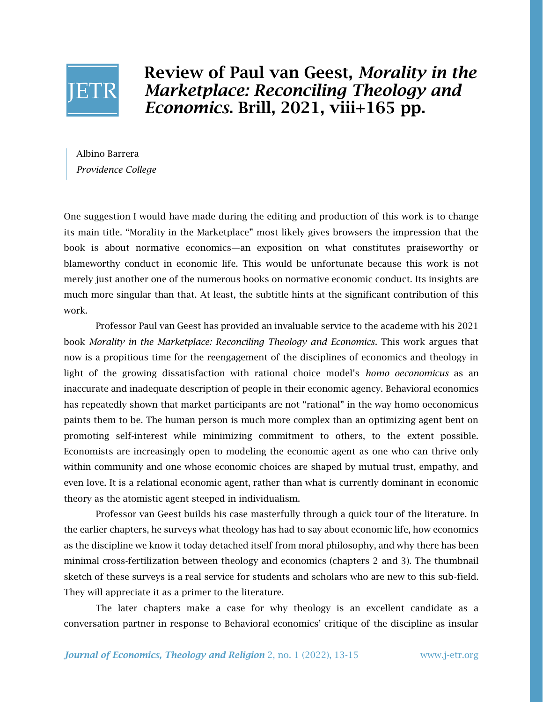

Review of Paul van Geest, *Morality in the Marketplace: Reconciling Theology and Economics*. Brill, 2021, viii+165 pp.

Albino Barrera *Providence College*

One suggestion I would have made during the editing and production of this work is to change its main title. "Morality in the Marketplace" most likely gives browsers the impression that the book is about normative economics—an exposition on what constitutes praiseworthy or blameworthy conduct in economic life. This would be unfortunate because this work is not merely just another one of the numerous books on normative economic conduct. Its insights are much more singular than that. At least, the subtitle hints at the significant contribution of this work.

Professor Paul van Geest has provided an invaluable service to the academe with his 2021 book *Morality in the Marketplace: Reconciling Theology and Economics*. This work argues that now is a propitious time for the reengagement of the disciplines of economics and theology in light of the growing dissatisfaction with rational choice model's *homo oeconomicus* as an inaccurate and inadequate description of people in their economic agency. Behavioral economics has repeatedly shown that market participants are not "rational" in the way homo oeconomicus paints them to be. The human person is much more complex than an optimizing agent bent on promoting self-interest while minimizing commitment to others, to the extent possible. Economists are increasingly open to modeling the economic agent as one who can thrive only within community and one whose economic choices are shaped by mutual trust, empathy, and even love. It is a relational economic agent, rather than what is currently dominant in economic theory as the atomistic agent steeped in individualism.

Professor van Geest builds his case masterfully through a quick tour of the literature. In the earlier chapters, he surveys what theology has had to say about economic life, how economics as the discipline we know it today detached itself from moral philosophy, and why there has been minimal cross-fertilization between theology and economics (chapters 2 and 3). The thumbnail sketch of these surveys is a real service for students and scholars who are new to this sub-field. They will appreciate it as a primer to the literature.

The later chapters make a case for why theology is an excellent candidate as a conversation partner in response to Behavioral economics' critique of the discipline as insular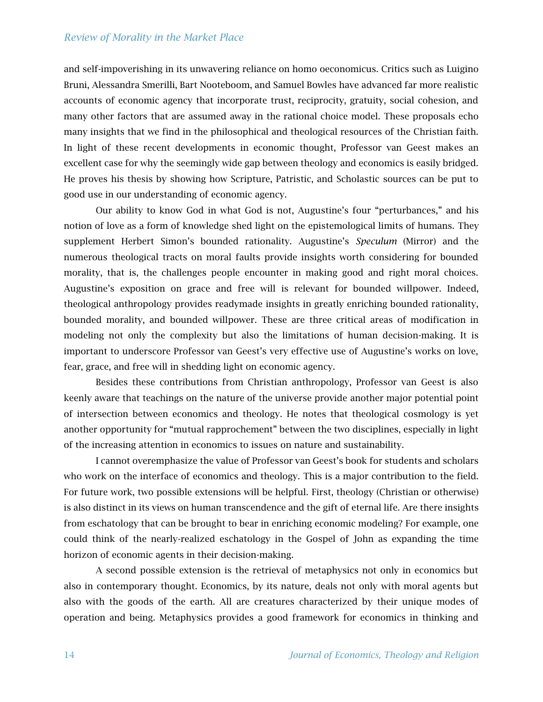## *Review of Morality in the Market Place*

and self-impoverishing in its unwavering reliance on homo oeconomicus. Critics such as Luigino Bruni, Alessandra Smerilli, Bart Nooteboom, and Samuel Bowles have advanced far more realistic accounts of economic agency that incorporate trust, reciprocity, gratuity, social cohesion, and many other factors that are assumed away in the rational choice model. These proposals echo many insights that we find in the philosophical and theological resources of the Christian faith. In light of these recent developments in economic thought, Professor van Geest makes an excellent case for why the seemingly wide gap between theology and economics is easily bridged. He proves his thesis by showing how Scripture, Patristic, and Scholastic sources can be put to good use in our understanding of economic agency.

Our ability to know God in what God is not, Augustine's four "perturbances," and his notion of love as a form of knowledge shed light on the epistemological limits of humans. They supplement Herbert Simon's bounded rationality. Augustine's *Speculum* (Mirror) and the numerous theological tracts on moral faults provide insights worth considering for bounded morality, that is, the challenges people encounter in making good and right moral choices. Augustine's exposition on grace and free will is relevant for bounded willpower. Indeed, theological anthropology provides readymade insights in greatly enriching bounded rationality, bounded morality, and bounded willpower. These are three critical areas of modification in modeling not only the complexity but also the limitations of human decision-making. It is important to underscore Professor van Geest's very effective use of Augustine's works on love, fear, grace, and free will in shedding light on economic agency.

Besides these contributions from Christian anthropology, Professor van Geest is also keenly aware that teachings on the nature of the universe provide another major potential point of intersection between economics and theology. He notes that theological cosmology is yet another opportunity for "mutual rapprochement" between the two disciplines, especially in light of the increasing attention in economics to issues on nature and sustainability.

I cannot overemphasize the value of Professor van Geest's book for students and scholars who work on the interface of economics and theology. This is a major contribution to the field. For future work, two possible extensions will be helpful. First, theology (Christian or otherwise) is also distinct in its views on human transcendence and the gift of eternal life. Are there insights from eschatology that can be brought to bear in enriching economic modeling? For example, one could think of the nearly-realized eschatology in the Gospel of John as expanding the time horizon of economic agents in their decision-making.

A second possible extension is the retrieval of metaphysics not only in economics but also in contemporary thought. Economics, by its nature, deals not only with moral agents but also with the goods of the earth. All are creatures characterized by their unique modes of operation and being. Metaphysics provides a good framework for economics in thinking and